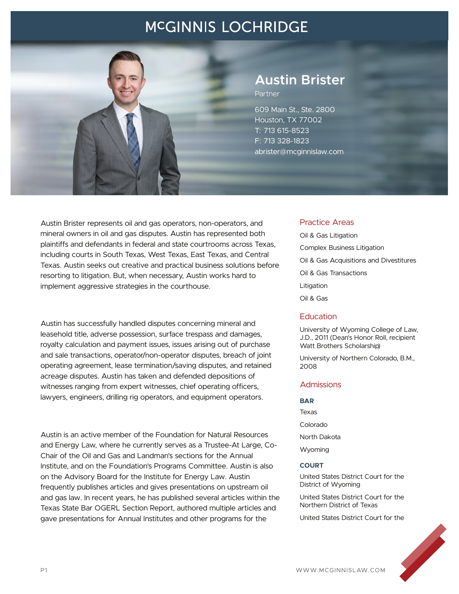

# **Austin Brister**

Partner

609 Main St., Ste. 2800 Houston, TX 77002 T: 713 615-8523 F: 713 328-1823 abrister@mcginnislaw.com

Austin Brister represents oil and gas operators, non-operators, and mineral owners in oil and gas disputes. Austin has represented both plaintiffs and defendants in federal and state courtrooms across Texas, including courts in South Texas, West Texas, East Texas, and Central Texas. Austin seeks out creative and practical business solutions before resorting to litigation. But, when necessary, Austin works hard to implement aggressive strategies in the courthouse.

Austin has successfully handled disputes concerning mineral and leasehold title, adverse possession, surface trespass and damages, royalty calculation and payment issues, issues arising out of purchase and sale transactions, operator/non-operator disputes, breach of joint operating agreement, lease termination/saving disputes, and retained acreage disputes. Austin has taken and defended depositions of witnesses ranging from expert witnesses, chief operating officers, lawyers, engineers, drilling rig operators, and equipment operators.

Austin is an active member of the Foundation for Natural Resources and Energy Law, where he currently serves as a Trustee-At Large, Co-Chair of the Oil and Gas and Landman's sections for the Annual Institute, and on the Foundation's Programs Committee. Austin is also on the Advisory Board for the Institute for Energy Law. Austin frequently publishes articles and gives presentations on upstream oil and gas law. In recent years, he has published several articles within the Texas State Bar OGERL Section Report, authored multiple articles and gave presentations for Annual Institutes and other programs for the

#### Practice Areas

Oil & Gas Litigation Complex Business Litigation Oil & Gas Acquisitions and Divestitures Oil & Gas Transactions Litigation Oil & Gas

#### **Education**

University of Wyoming College of Law, J.D., 2011 (Dean's Honor Roll, recipient Watt Brothers Scholarship)

University of Northern Colorado, B.M., 2008

#### Admissions

#### **BAR**

Texas Colorado North Dakota Wyoming

#### **COURT**

United States District Court for the District of Wyoming

United States District Court for the Northern District of Texas

United States District Court for the

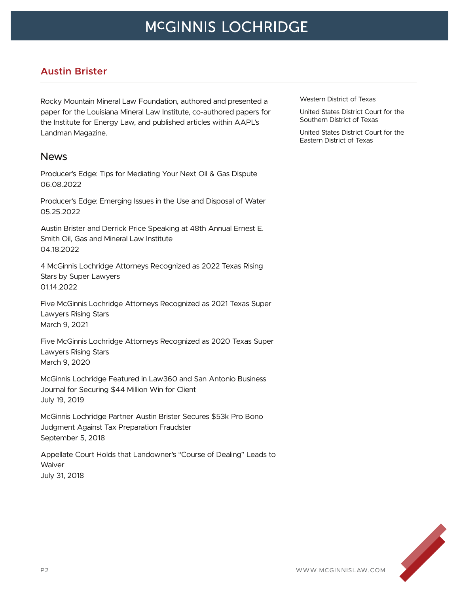#### **Austin Brister**

Rocky Mountain Mineral Law Foundation, authored and presented a paper for the Louisiana Mineral Law Institute, co-authored papers for the Institute for Energy Law, and published articles within AAPL's Landman Magazine.

#### News

Producer's Edge: Tips for Mediating Your Next Oil & Gas Dispute 06.08.2022

Producer's Edge: Emerging Issues in the Use and Disposal of Water 05.25.2022

Austin Brister and Derrick Price Speaking at 48th Annual Ernest E. Smith Oil, Gas and Mineral Law Institute 04.18.2022

4 McGinnis Lochridge Attorneys Recognized as 2022 Texas Rising Stars by Super Lawyers 01.14.2022

Five McGinnis Lochridge Attorneys Recognized as 2021 Texas Super Lawyers Rising Stars March 9, 2021

Five McGinnis Lochridge Attorneys Recognized as 2020 Texas Super Lawyers Rising Stars March 9, 2020

McGinnis Lochridge Featured in Law360 and San Antonio Business Journal for Securing \$44 Million Win for Client July 19, 2019

McGinnis Lochridge Partner Austin Brister Secures \$53k Pro Bono Judgment Against Tax Preparation Fraudster September 5, 2018

Appellate Court Holds that Landowner's "Course of Dealing" Leads to **Waiver** July 31, 2018

Western District of Texas

United States District Court for the Southern District of Texas

United States District Court for the Eastern District of Texas

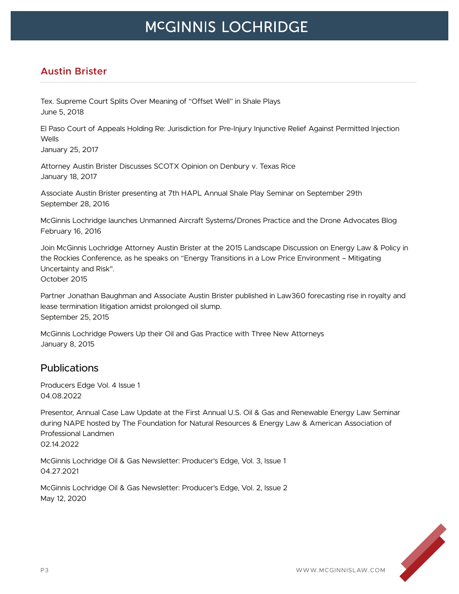## **Austin Brister**

Tex. Supreme Court Splits Over Meaning of "Offset Well" in Shale Plays June 5, 2018

El Paso Court of Appeals Holding Re: Jurisdiction for Pre-Injury Injunctive Relief Against Permitted Injection Wells

January 25, 2017

Attorney Austin Brister Discusses SCOTX Opinion on Denbury v. Texas Rice January 18, 2017

Associate Austin Brister presenting at 7th HAPL Annual Shale Play Seminar on September 29th September 28, 2016

McGinnis Lochridge launches Unmanned Aircraft Systems/Drones Practice and the Drone Advocates Blog February 16, 2016

Join McGinnis Lochridge Attorney Austin Brister at the 2015 Landscape Discussion on Energy Law & Policy in the Rockies Conference, as he speaks on "Energy Transitions in a Low Price Environment – Mitigating Uncertainty and Risk". October 2015

Partner Jonathan Baughman and Associate Austin Brister published in Law360 forecasting rise in royalty and lease termination litigation amidst prolonged oil slump. September 25, 2015

McGinnis Lochridge Powers Up their Oil and Gas Practice with Three New Attorneys January 8, 2015

## **Publications**

Producers Edge Vol. 4 Issue 1 04.08.2022

Presentor, Annual Case Law Update at the First Annual U.S. Oil & Gas and Renewable Energy Law Seminar during NAPE hosted by The Foundation for Natural Resources & Energy Law & American Association of Professional Landmen 02.14.2022

McGinnis Lochridge Oil & Gas Newsletter: Producer's Edge, Vol. 3, Issue 1 04.27.2021

McGinnis Lochridge Oil & Gas Newsletter: Producer's Edge, Vol. 2, Issue 2 May 12, 2020

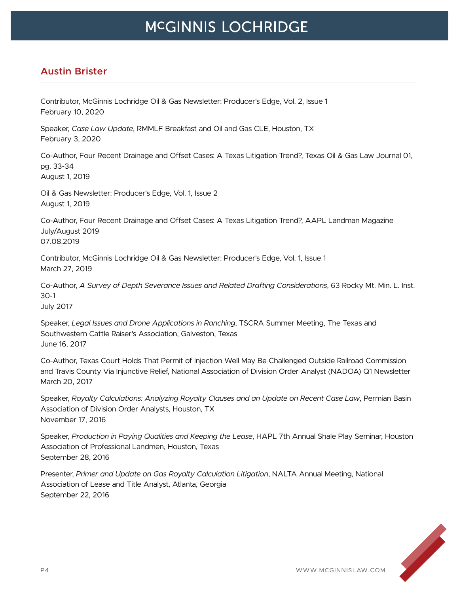## **Austin Brister**

Contributor, McGinnis Lochridge Oil & Gas Newsletter: Producer's Edge, Vol. 2, Issue 1 February 10, 2020

Speaker, *Case Law Update*, RMMLF Breakfast and Oil and Gas CLE, Houston, TX February 3, 2020

Co-Author, Four Recent Drainage and Offset Cases: A Texas Litigation Trend?, Texas Oil & Gas Law Journal 01, pg. 33-34 August 1, 2019

Oil & Gas Newsletter: Producer's Edge, Vol. 1, Issue 2 August 1, 2019

Co-Author, Four Recent Drainage and Offset Cases: A Texas Litigation Trend?, AAPL Landman Magazine July/August 2019 07.08.2019

Contributor, McGinnis Lochridge Oil & Gas Newsletter: Producer's Edge, Vol. 1, Issue 1 March 27, 2019

Co-Author, *A Survey of Depth Severance Issues and Related Drafting Considerations*, 63 Rocky Mt. Min. L. Inst. 30-1 July 2017

Speaker, *Legal Issues and Drone Applications in Ranching*, TSCRA Summer Meeting, The Texas and Southwestern Cattle Raiser's Association, Galveston, Texas June 16, 2017

Co-Author, Texas Court Holds That Permit of Injection Well May Be Challenged Outside Railroad Commission and Travis County Via Injunctive Relief, National Association of Division Order Analyst (NADOA) Q1 Newsletter March 20, 2017

Speaker, *Royalty Calculations: Analyzing Royalty Clauses and an Update on Recent Case Law*, Permian Basin Association of Division Order Analysts, Houston, TX November 17, 2016

Speaker, *Production in Paying Qualities and Keeping the Lease*, HAPL 7th Annual Shale Play Seminar, Houston Association of Professional Landmen, Houston, Texas September 28, 2016

Presenter, *Primer and Update on Gas Royalty Calculation Litigation*, NALTA Annual Meeting, National Association of Lease and Title Analyst, Atlanta, Georgia September 22, 2016

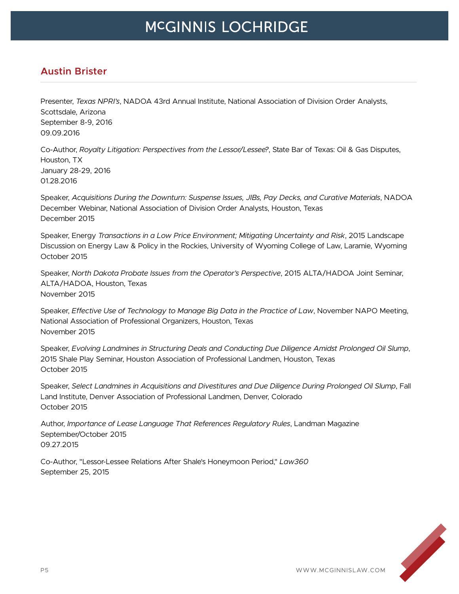#### **Austin Brister**

Presenter, *Texas NPRI's*, NADOA 43rd Annual Institute, National Association of Division Order Analysts, Scottsdale, Arizona September 8-9, 2016 09.09.2016

Co-Author, *Royalty Litigation: Perspectives from the Lessor/Lessee?*, State Bar of Texas: Oil & Gas Disputes, Houston, TX January 28-29, 2016 01.28.2016

Speaker, *Acquisitions During the Downturn: Suspense Issues, JIBs, Pay Decks, and Curative Materials*, NADOA December Webinar, National Association of Division Order Analysts, Houston, Texas December 2015

Speaker, Energy *Transactions in a Low Price Environment; Mitigating Uncertainty and Risk*, 2015 Landscape Discussion on Energy Law & Policy in the Rockies, University of Wyoming College of Law, Laramie, Wyoming October 2015

Speaker, *North Dakota Probate Issues from the Operator's Perspective*, 2015 ALTA/HADOA Joint Seminar, ALTA/HADOA, Houston, Texas November 2015

Speaker, *Effective Use of Technology to Manage Big Data in the Practice of Law*, November NAPO Meeting, National Association of Professional Organizers, Houston, Texas November 2015

Speaker, *Evolving Landmines in Structuring Deals and Conducting Due Diligence Amidst Prolonged Oil Slump*, 2015 Shale Play Seminar, Houston Association of Professional Landmen, Houston, Texas October 2015

Speaker, *Select Landmines in Acquisitions and Divestitures and Due Diligence During Prolonged Oil Slump*, Fall Land Institute, Denver Association of Professional Landmen, Denver, Colorado October 2015

Author, *Importance of Lease Language That References Regulatory Rules*, Landman Magazine September/October 2015 09.27.2015

Co-Author, "Lessor-Lessee Relations After Shale's Honeymoon Period," *Law360* September 25, 2015

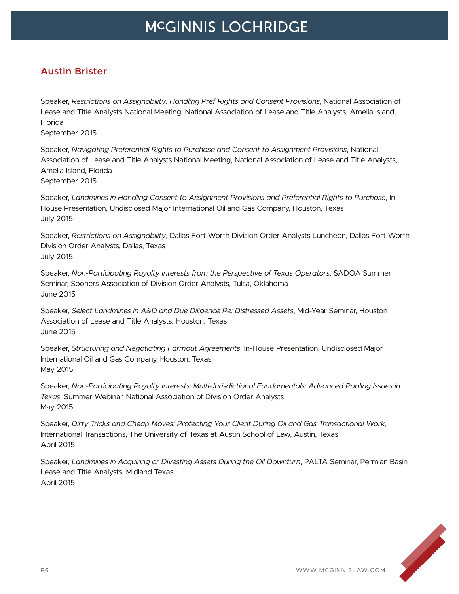## **Austin Brister**

Speaker, *Restrictions on Assignability: Handling Pref Rights and Consent Provisions*, National Association of Lease and Title Analysts National Meeting, National Association of Lease and Title Analysts, Amelia Island, Florida

September 2015

Speaker, *Navigating Preferential Rights to Purchase and Consent to Assignment Provisions*, National Association of Lease and Title Analysts National Meeting, National Association of Lease and Title Analysts, Amelia Island, Florida September 2015

Speaker, *Landmines in Handling Consent to Assignment Provisions and Preferential Rights to Purchase*, In-House Presentation, Undisclosed Major International Oil and Gas Company, Houston, Texas July 2015

Speaker, *Restrictions on Assignability*, Dallas Fort Worth Division Order Analysts Luncheon, Dallas Fort Worth Division Order Analysts, Dallas, Texas July 2015

Speaker, *Non-Participating Royalty Interests from the Perspective of Texas Operators*, SADOA Summer Seminar, Sooners Association of Division Order Analysts, Tulsa, Oklahoma June 2015

Speaker, *Select Landmines in A&D and Due Diligence Re: Distressed Assets*, Mid-Year Seminar, Houston Association of Lease and Title Analysts, Houston, Texas June 2015

Speaker, *Structuring and Negotiating Farmout Agreements*, In-House Presentation, Undisclosed Major International Oil and Gas Company, Houston, Texas May 2015

Speaker, *Non-Participating Royalty Interests: Multi-Jurisdictional Fundamentals; Advanced Pooling Issues in Texas*, Summer Webinar, National Association of Division Order Analysts May 2015

Speaker, *Dirty Tricks and Cheap Moves: Protecting Your Client During Oil and Gas Transactional Work*, International Transactions, The University of Texas at Austin School of Law, Austin, Texas April 2015

Speaker, *Landmines in Acquiring or Divesting Assets During the Oil Downturn*, PALTA Seminar, Permian Basin Lease and Title Analysts, Midland Texas April 2015

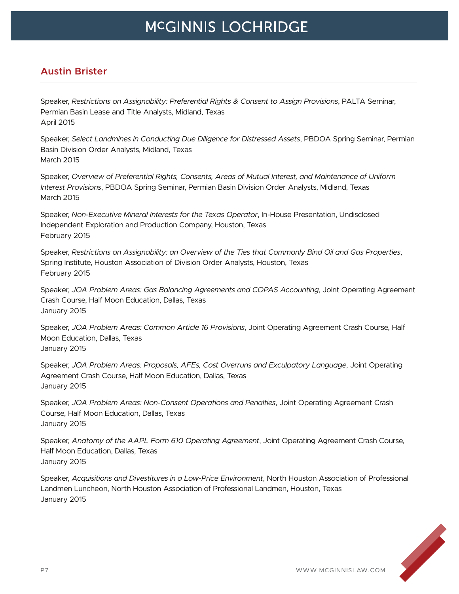### **Austin Brister**

Speaker, *Restrictions on Assignability: Preferential Rights & Consent to Assign Provisions*, PALTA Seminar, Permian Basin Lease and Title Analysts, Midland, Texas April 2015

Speaker, *Select Landmines in Conducting Due Diligence for Distressed Assets*, PBDOA Spring Seminar, Permian Basin Division Order Analysts, Midland, Texas March 2015

Speaker, *Overview of Preferential Rights, Consents, Areas of Mutual Interest, and Maintenance of Uniform Interest Provisions*, PBDOA Spring Seminar, Permian Basin Division Order Analysts, Midland, Texas March 2015

Speaker, *Non-Executive Mineral Interests for the Texas Operator*, In-House Presentation, Undisclosed Independent Exploration and Production Company, Houston, Texas February 2015

Speaker, *Restrictions on Assignability: an Overview of the Ties that Commonly Bind Oil and Gas Properties*, Spring Institute, Houston Association of Division Order Analysts, Houston, Texas February 2015

Speaker, *JOA Problem Areas: Gas Balancing Agreements and COPAS Accounting*, Joint Operating Agreement Crash Course, Half Moon Education, Dallas, Texas January 2015

Speaker, *JOA Problem Areas: Common Article 16 Provisions*, Joint Operating Agreement Crash Course, Half Moon Education, Dallas, Texas January 2015

Speaker, *JOA Problem Areas: Proposals, AFEs, Cost Overruns and Exculpatory Language*, Joint Operating Agreement Crash Course, Half Moon Education, Dallas, Texas January 2015

Speaker, *JOA Problem Areas: Non-Consent Operations and Penalties*, Joint Operating Agreement Crash Course, Half Moon Education, Dallas, Texas January 2015

Speaker, *Anatomy of the AAPL Form 610 Operating Agreement*, Joint Operating Agreement Crash Course, Half Moon Education, Dallas, Texas January 2015

Speaker, *Acquisitions and Divestitures in a Low-Price Environment*, North Houston Association of Professional Landmen Luncheon, North Houston Association of Professional Landmen, Houston, Texas January 2015

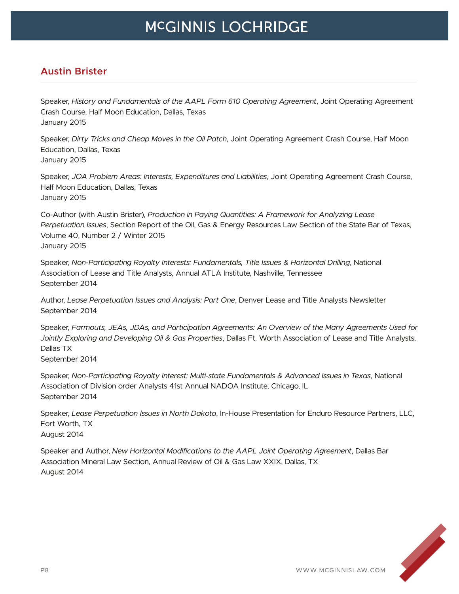## **Austin Brister**

Speaker, *History and Fundamentals of the AAPL Form 610 Operating Agreement*, Joint Operating Agreement Crash Course, Half Moon Education, Dallas, Texas January 2015

Speaker, *Dirty Tricks and Cheap Moves in the Oil Patch*, Joint Operating Agreement Crash Course, Half Moon Education, Dallas, Texas January 2015

Speaker, *JOA Problem Areas: Interests, Expenditures and Liabilities*, Joint Operating Agreement Crash Course, Half Moon Education, Dallas, Texas January 2015

Co-Author (with Austin Brister), *Production in Paying Quantities: A Framework for Analyzing Lease Perpetuation Issues*, Section Report of the Oil, Gas & Energy Resources Law Section of the State Bar of Texas, Volume 40, Number 2 / Winter 2015 January 2015

Speaker, *Non-Participating Royalty Interests: Fundamentals, Title Issues & Horizontal Drilling*, National Association of Lease and Title Analysts, Annual ATLA Institute, Nashville, Tennessee September 2014

Author, *Lease Perpetuation Issues and Analysis: Part One*, Denver Lease and Title Analysts Newsletter September 2014

Speaker, *Farmouts, JEAs, JDAs, and Participation Agreements: An Overview of the Many Agreements Used for Jointly Exploring and Developing Oil & Gas Properties*, Dallas Ft. Worth Association of Lease and Title Analysts, Dallas TX

September 2014

Speaker, *Non-Participating Royalty Interest: Multi-state Fundamentals & Advanced Issues in Texas*, National Association of Division order Analysts 41st Annual NADOA Institute, Chicago, IL September 2014

Speaker, *Lease Perpetuation Issues in North Dakota*, In-House Presentation for Enduro Resource Partners, LLC, Fort Worth, TX August 2014

Speaker and Author, *New Horizontal Modifications to the AAPL Joint Operating Agreement*, Dallas Bar Association Mineral Law Section, Annual Review of Oil & Gas Law XXIX, Dallas, TX August 2014

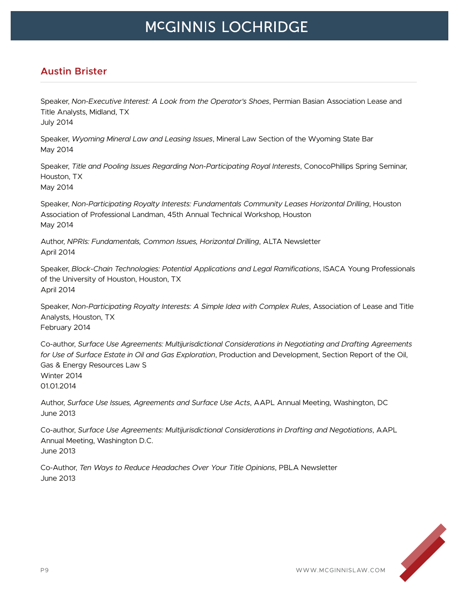## **Austin Brister**

Speaker, *Non-Executive Interest: A Look from the Operator's Shoes*, Permian Basian Association Lease and Title Analysts, Midland, TX July 2014

Speaker, *Wyoming Mineral Law and Leasing Issues*, Mineral Law Section of the Wyoming State Bar May 2014

Speaker, *Title and Pooling Issues Regarding Non-Participating Royal Interests*, ConocoPhillips Spring Seminar, Houston, TX May 2014

Speaker, *Non-Participating Royalty Interests: Fundamentals Community Leases Horizontal Drilling*, Houston Association of Professional Landman, 45th Annual Technical Workshop, Houston May 2014

Author, *NPRIs: Fundamentals, Common Issues, Horizontal Drilling*, ALTA Newsletter April 2014

Speaker, *Block-Chain Technologies: Potential Applications and Legal Ramifications*, ISACA Young Professionals of the University of Houston, Houston, TX April 2014

Speaker, *Non-Participating Royalty Interests: A Simple Idea with Complex Rules*, Association of Lease and Title Analysts, Houston, TX February 2014

Co-author, *Surface Use Agreements: Multijurisdictional Considerations in Negotiating and Drafting Agreements for Use of Surface Estate in Oil and Gas Exploration*, Production and Development, Section Report of the Oil, Gas & Energy Resources Law S Winter 2014 01.01.2014

Author, *Surface Use Issues, Agreements and Surface Use Acts*, AAPL Annual Meeting, Washington, DC June 2013

Co-author, *Surface Use Agreements: Multijurisdictional Considerations in Drafting and Negotiations*, AAPL Annual Meeting, Washington D.C. June 2013

Co-Author, *Ten Ways to Reduce Headaches Over Your Title Opinions*, PBLA Newsletter June 2013

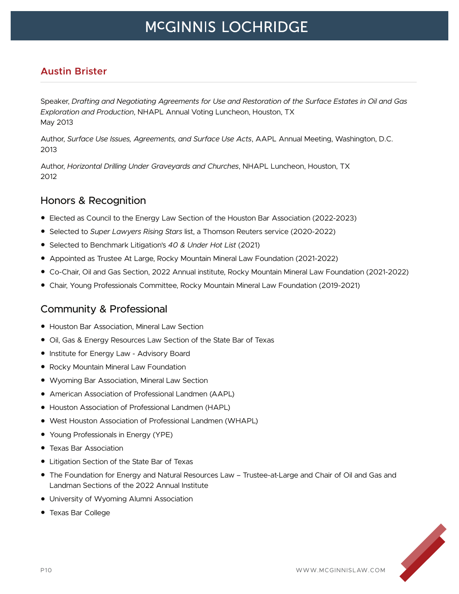## **Austin Brister**

Speaker, *Drafting and Negotiating Agreements for Use and Restoration of the Surface Estates in Oil and Gas Exploration and Production*, NHAPL Annual Voting Luncheon, Houston, TX May 2013

Author, *Surface Use Issues, Agreements, and Surface Use Acts*, AAPL Annual Meeting, Washington, D.C. 2013

Author, *Horizontal Drilling Under Graveyards and Churches*, NHAPL Luncheon, Houston, TX 2012

## Honors & Recognition

- Elected as Council to the Energy Law Section of the Houston Bar Association (2022-2023)
- Selected to *Super Lawyers Rising Stars* list, a Thomson Reuters service (2020-2022)
- Selected to Benchmark Litigation's *40 & Under Hot List* (2021)
- Appointed as Trustee At Large, Rocky Mountain Mineral Law Foundation (2021-2022)
- Co-Chair, Oil and Gas Section, 2022 Annual institute, Rocky Mountain Mineral Law Foundation (2021-2022)
- Chair, Young Professionals Committee, Rocky Mountain Mineral Law Foundation (2019-2021)

#### Community & Professional

- Houston Bar Association, Mineral Law Section
- Oil, Gas & Energy Resources Law Section of the State Bar of Texas
- Institute for Energy Law Advisory Board
- Rocky Mountain Mineral Law Foundation
- Wyoming Bar Association, Mineral Law Section
- American Association of Professional Landmen (AAPL)
- Houston Association of Professional Landmen (HAPL)
- West Houston Association of Professional Landmen (WHAPL)
- Young Professionals in Energy (YPE)
- Texas Bar Association
- Litigation Section of the State Bar of Texas
- The Foundation for Energy and Natural Resources Law Trustee-at-Large and Chair of Oil and Gas and Landman Sections of the 2022 Annual Institute
- University of Wyoming Alumni Association
- Texas Bar College